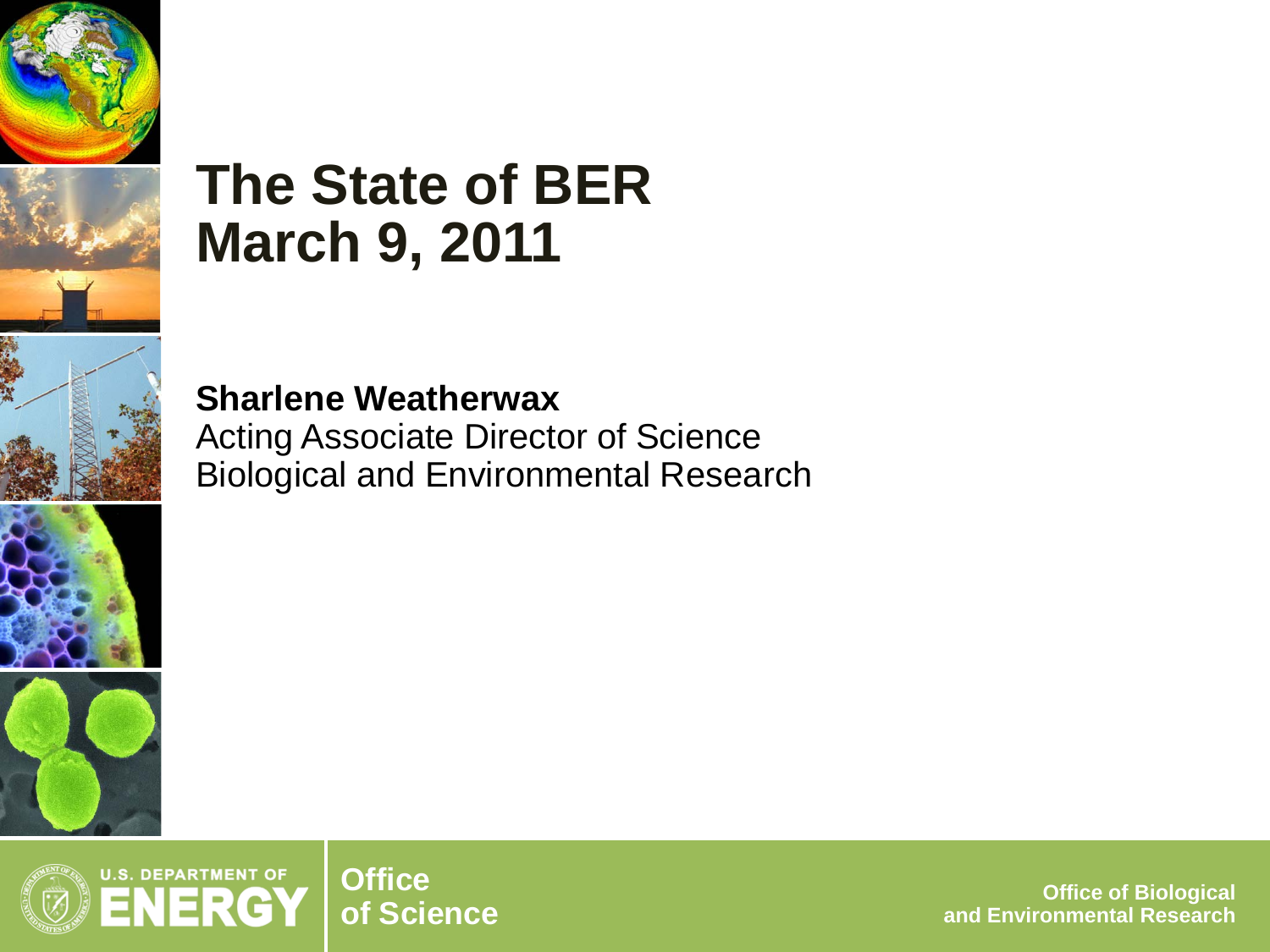

# **The State of BER March 9, 2011**

**Sharlene Weatherwax** Acting Associate Director of Science Biological and Environmental Research



**of Science Office of Biological and Environmental Research**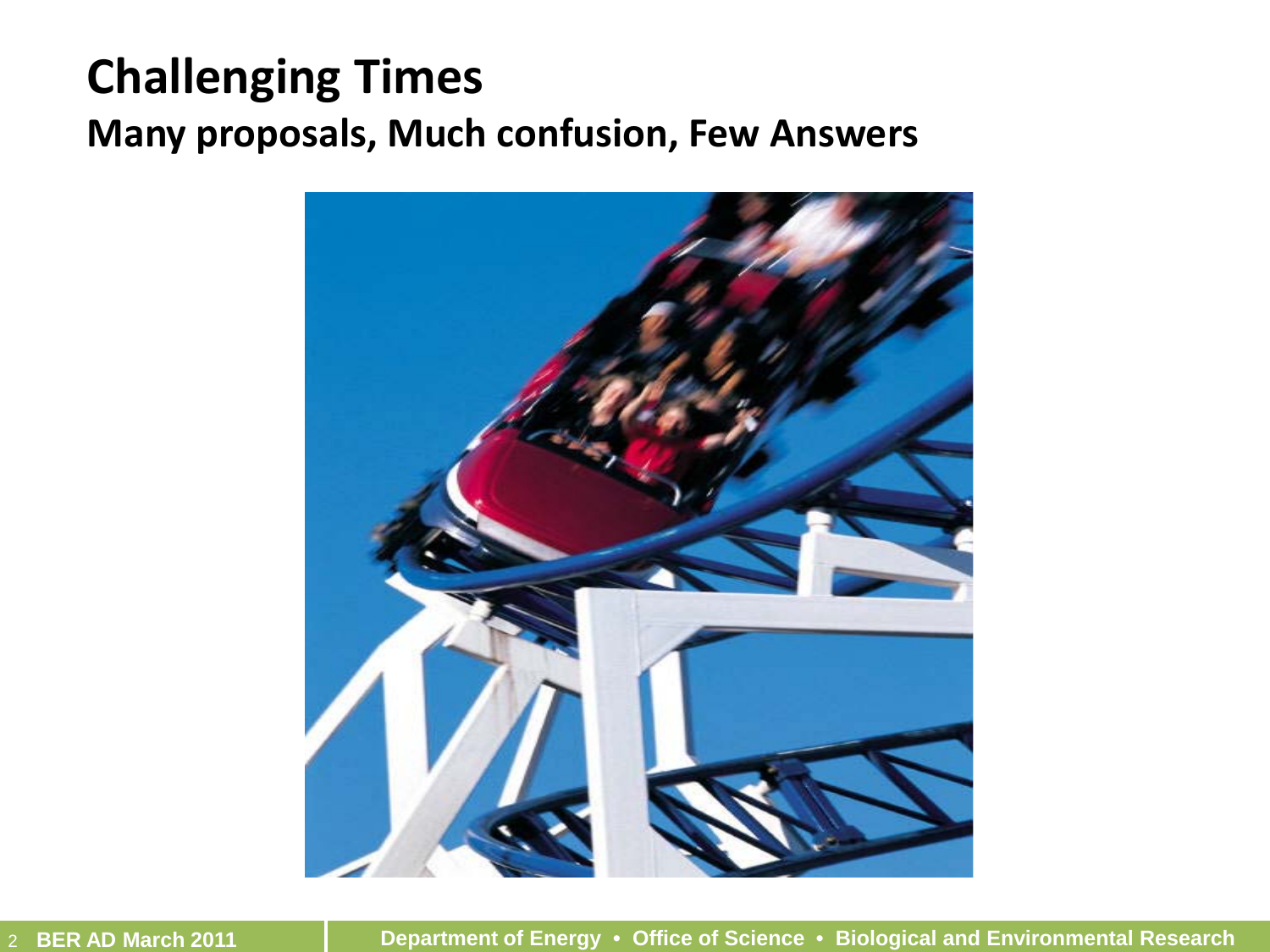#### **Challenging Times Many proposals, Much confusion, Few Answers**



2 **BER AD March 2011 Department of Energy • Office of Science • Biological and Environmental Research**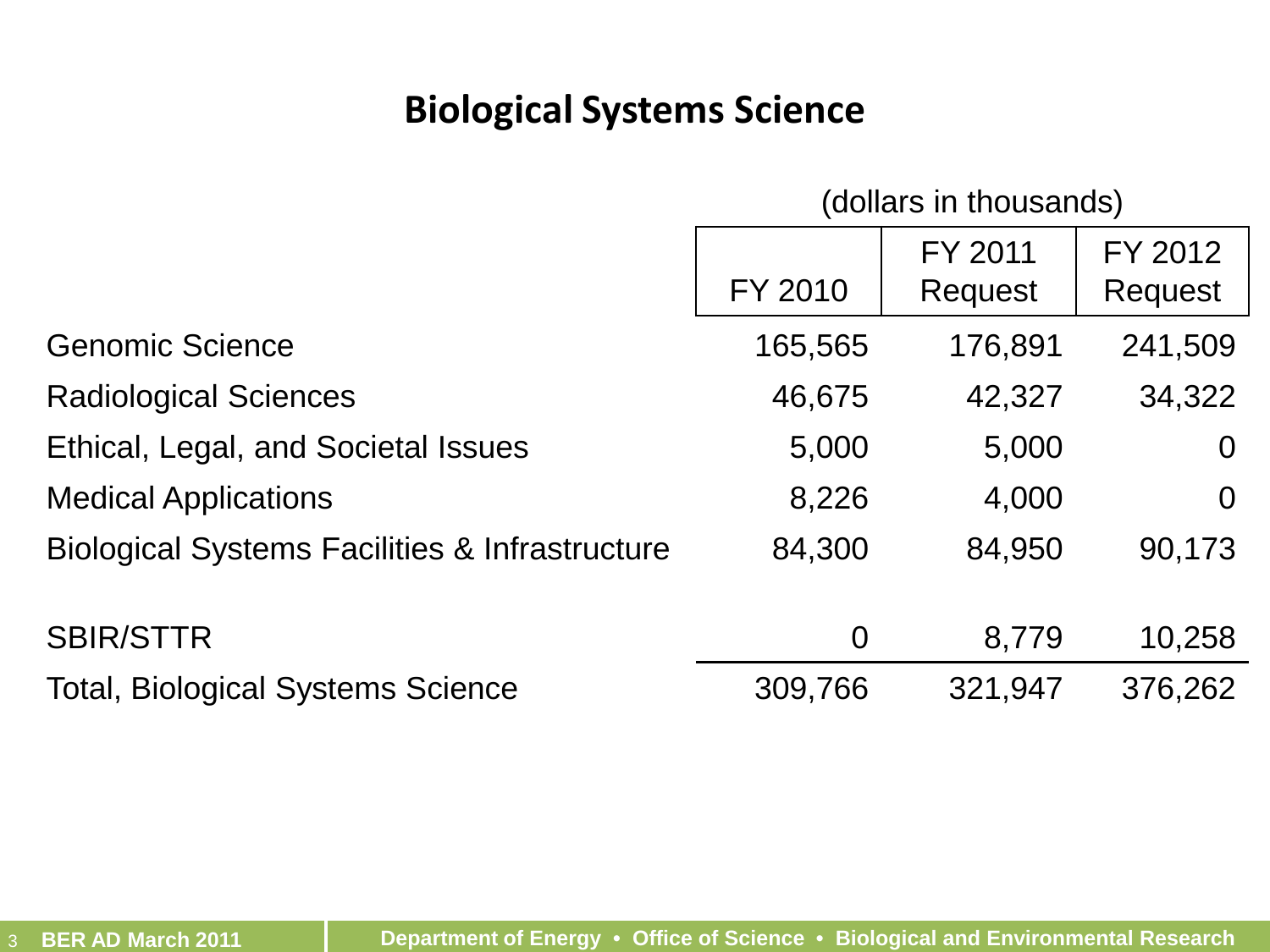#### **Biological Systems Science**

|  | (dollars in thousands) |
|--|------------------------|
|--|------------------------|

|                                                           | FY 2010        | FY 2011<br>Request | FY 2012<br>Request |
|-----------------------------------------------------------|----------------|--------------------|--------------------|
| <b>Genomic Science</b>                                    | 165,565        | 176,891            | 241,509            |
| <b>Radiological Sciences</b>                              | 46,675         | 42,327             | 34,322             |
| Ethical, Legal, and Societal Issues                       | 5,000          | 5,000              | $\Omega$           |
| <b>Medical Applications</b>                               | 8,226          | 4,000              | $\Omega$           |
| <b>Biological Systems Facilities &amp; Infrastructure</b> | 84,300         | 84,950             | 90,173             |
| <b>SBIR/STTR</b>                                          | $\overline{0}$ | 8,779              | 10,258             |
| <b>Total, Biological Systems Science</b>                  | 309,766        | 321,947            | 376,262            |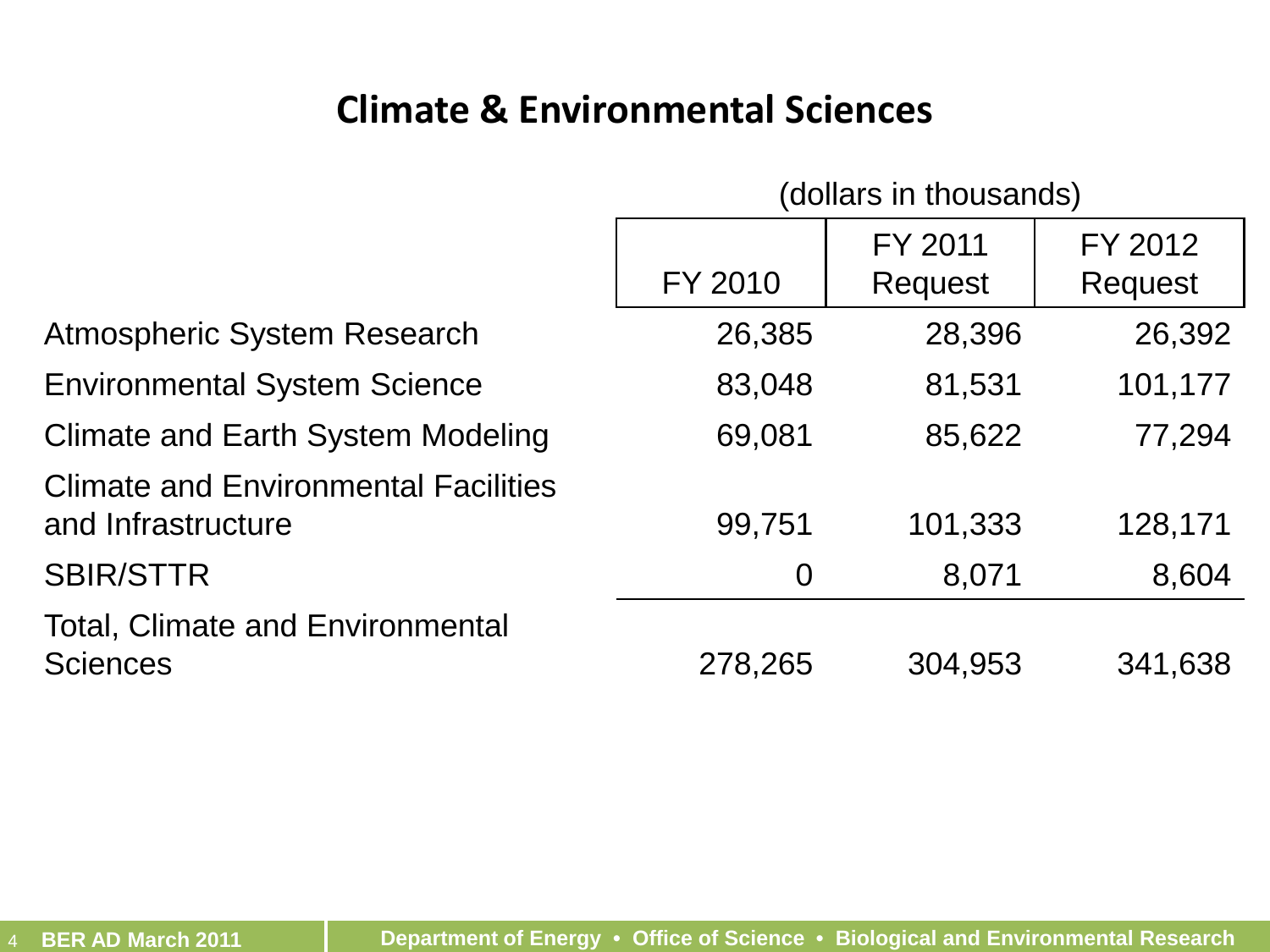#### **Climate & Environmental Sciences**

| (dollars in thousands) |  |  |  |  |  |  |
|------------------------|--|--|--|--|--|--|
|------------------------|--|--|--|--|--|--|

|                                                                   | FY 2010        | FY 2011<br>Request | FY 2012<br>Request |
|-------------------------------------------------------------------|----------------|--------------------|--------------------|
| <b>Atmospheric System Research</b>                                | 26,385         | 28,396             | 26,392             |
| <b>Environmental System Science</b>                               | 83,048         | 81,531             | 101,177            |
| <b>Climate and Earth System Modeling</b>                          | 69,081         | 85,622             | 77,294             |
| <b>Climate and Environmental Facilities</b><br>and Infrastructure | 99,751         | 101,333            | 128,171            |
| <b>SBIR/STTR</b>                                                  | $\overline{0}$ | 8,071              | 8,604              |
| <b>Total, Climate and Environmental</b><br><b>Sciences</b>        | 278,265        | 304,953            | 341,638            |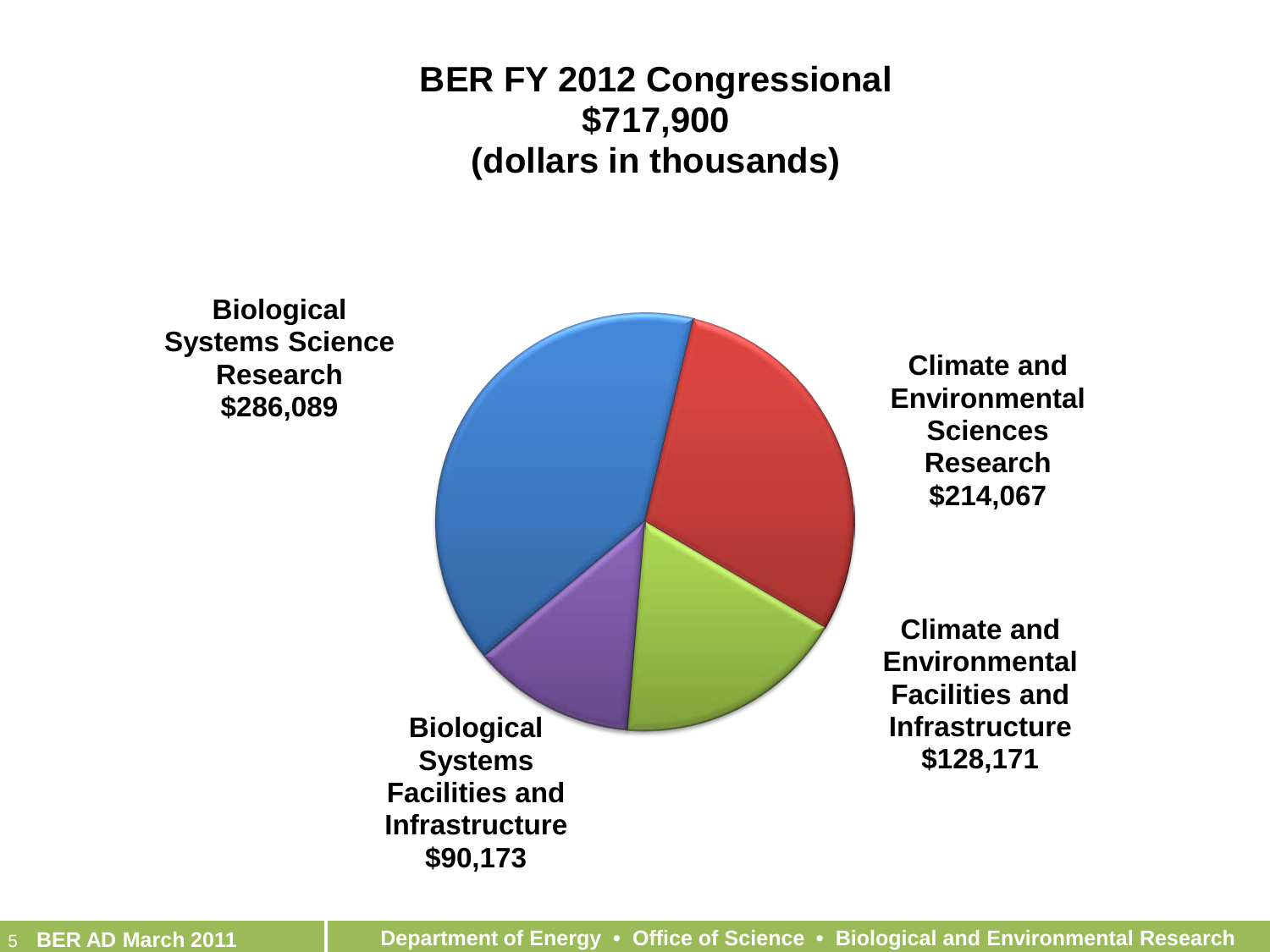#### **BER FY 2012 Congressional \$717,900 (dollars in thousands)**

**Biological Systems Science Research \$286,089 Climate and Environmental Sciences Research \$214,067 Climate and Environmental Facilities and Infrastructure \$128,171 Biological Systems Facilities and Infrastructure \$90,173**

5 **BER AD March 2011 Department of Energy • Office of Science • Biological and Environmental Research**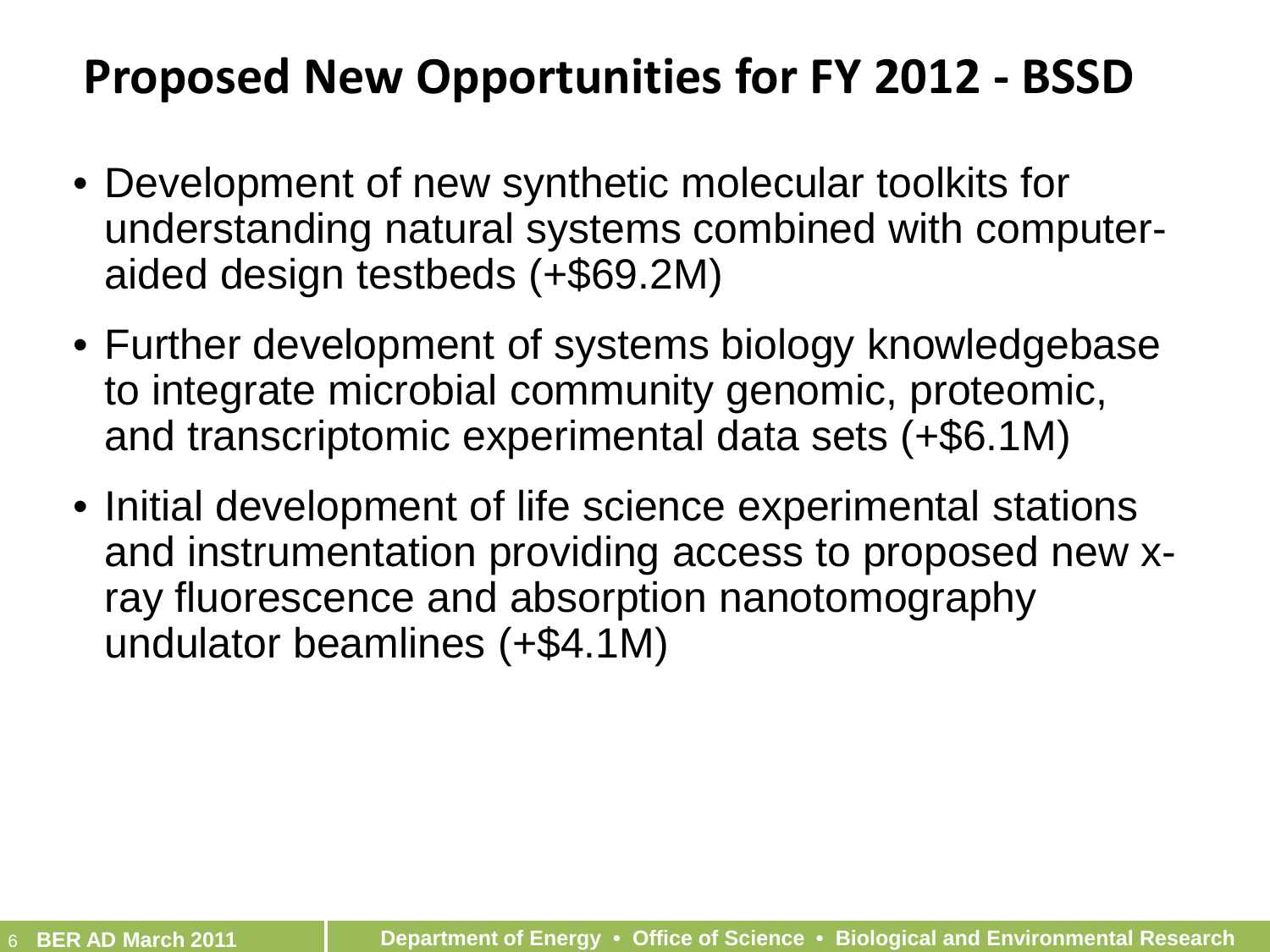#### **Proposed New Opportunities for FY 2012 - BSSD**

- Development of new synthetic molecular toolkits for understanding natural systems combined with computeraided design testbeds (+\$69.2M)
- Further development of systems biology knowledgebase to integrate microbial community genomic, proteomic, and transcriptomic experimental data sets (+\$6.1M)
- Initial development of life science experimental stations and instrumentation providing access to proposed new xray fluorescence and absorption nanotomography undulator beamlines (+\$4.1M)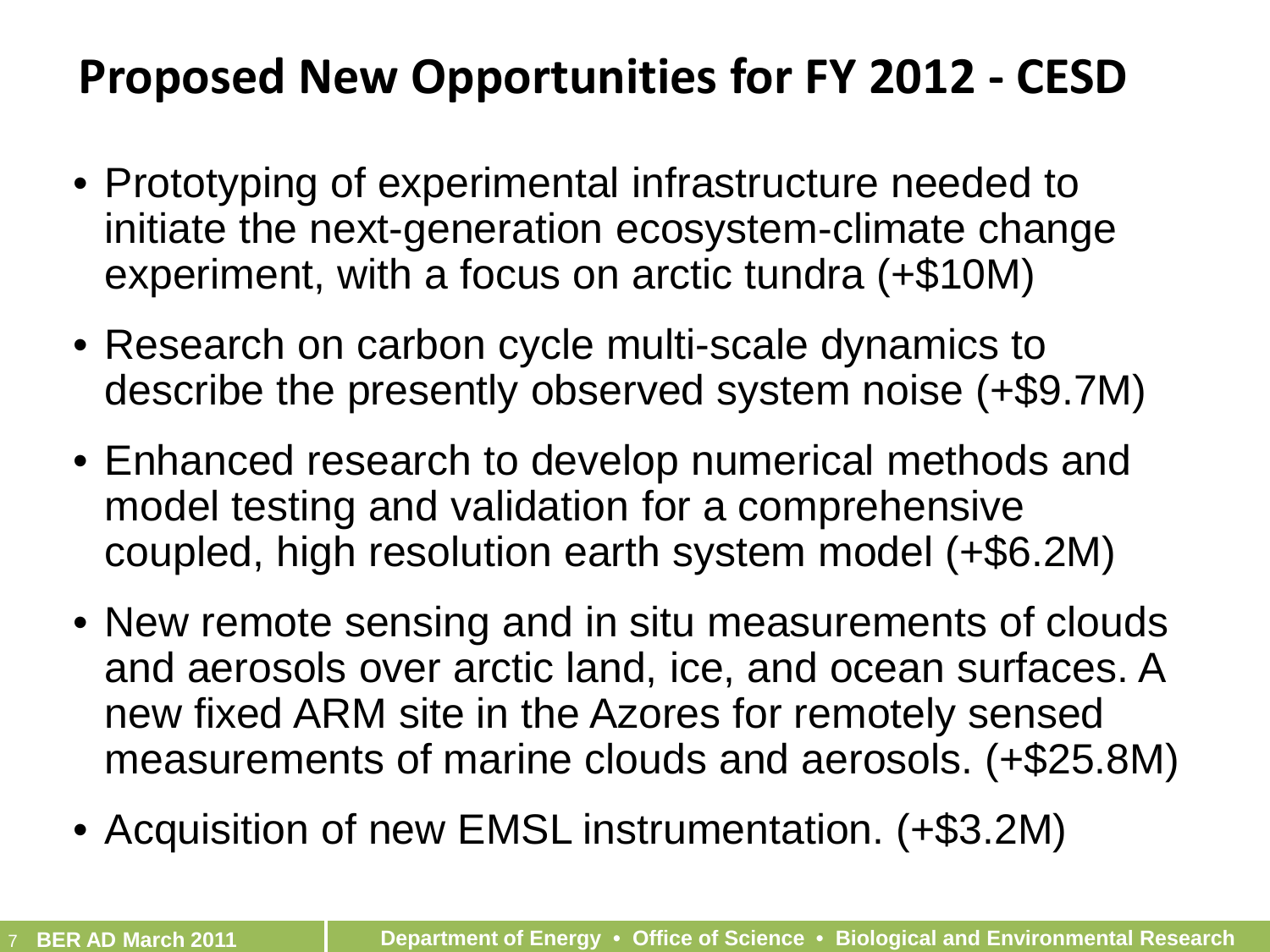### **Proposed New Opportunities for FY 2012 - CESD**

- Prototyping of experimental infrastructure needed to initiate the next-generation ecosystem-climate change experiment, with a focus on arctic tundra (+\$10M)
- Research on carbon cycle multi-scale dynamics to describe the presently observed system noise (+\$9.7M)
- Enhanced research to develop numerical methods and model testing and validation for a comprehensive coupled, high resolution earth system model (+\$6.2M)
- New remote sensing and in situ measurements of clouds and aerosols over arctic land, ice, and ocean surfaces. A new fixed ARM site in the Azores for remotely sensed measurements of marine clouds and aerosols. (+\$25.8M)
- Acquisition of new EMSL instrumentation. (+\$3.2M)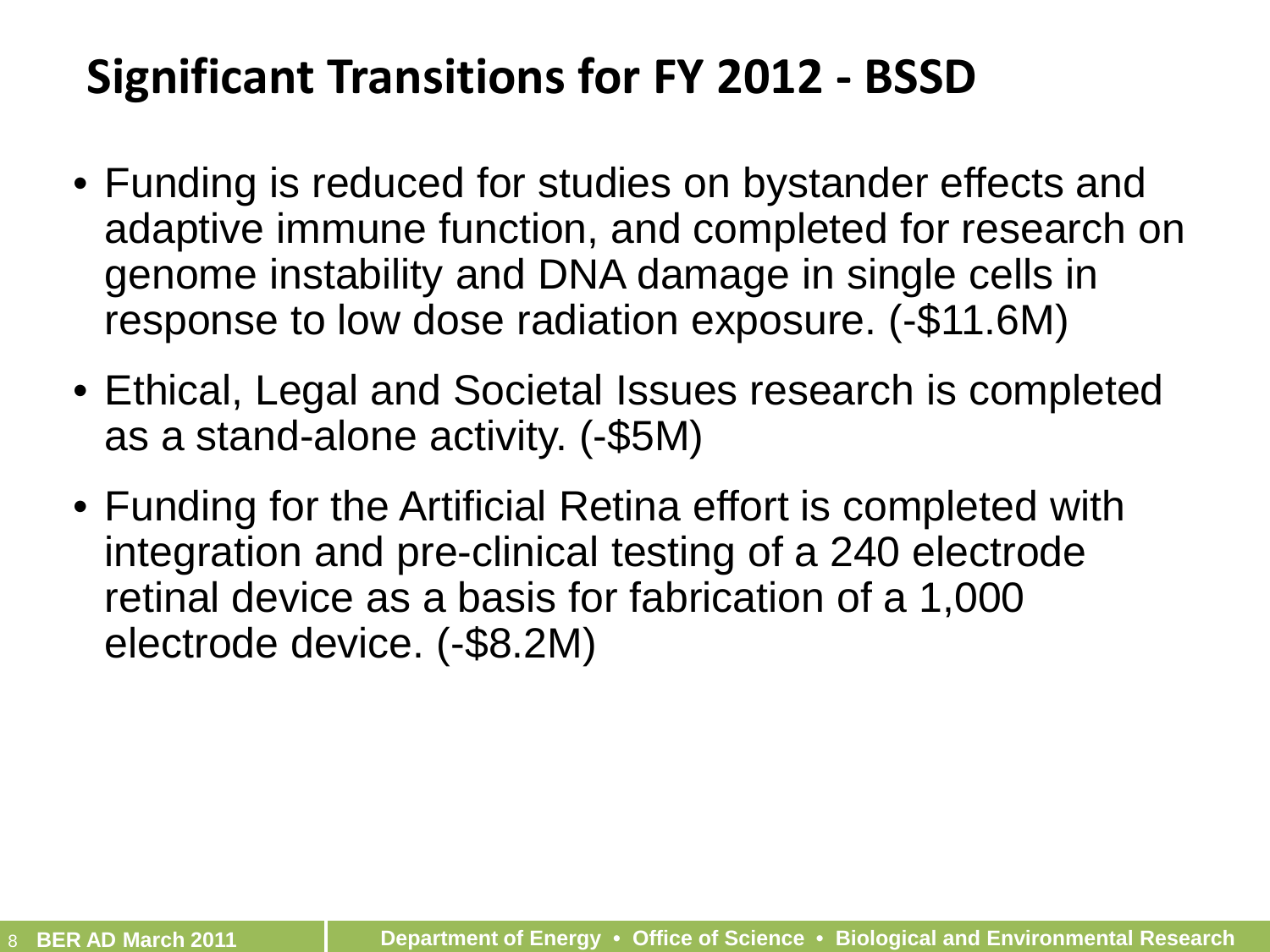# **Significant Transitions for FY 2012 - BSSD**

- Funding is reduced for studies on bystander effects and adaptive immune function, and completed for research on genome instability and DNA damage in single cells in response to low dose radiation exposure. (-\$11.6M)
- Ethical, Legal and Societal Issues research is completed as a stand-alone activity. (-\$5M)
- Funding for the Artificial Retina effort is completed with integration and pre-clinical testing of a 240 electrode retinal device as a basis for fabrication of a 1,000 electrode device. (-\$8.2M)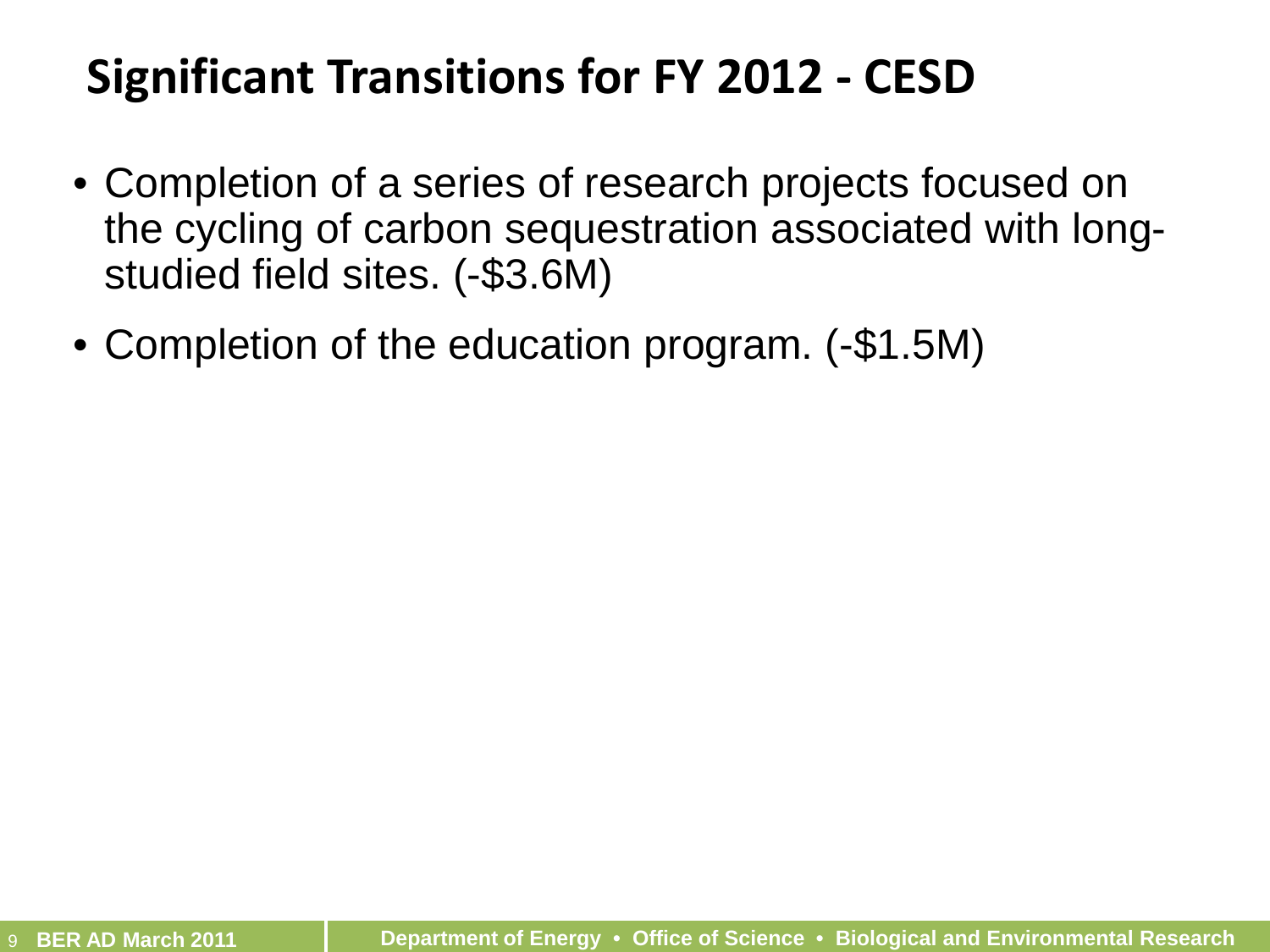# **Significant Transitions for FY 2012 - CESD**

- Completion of a series of research projects focused on the cycling of carbon sequestration associated with longstudied field sites. (-\$3.6M)
- Completion of the education program. (-\$1.5M)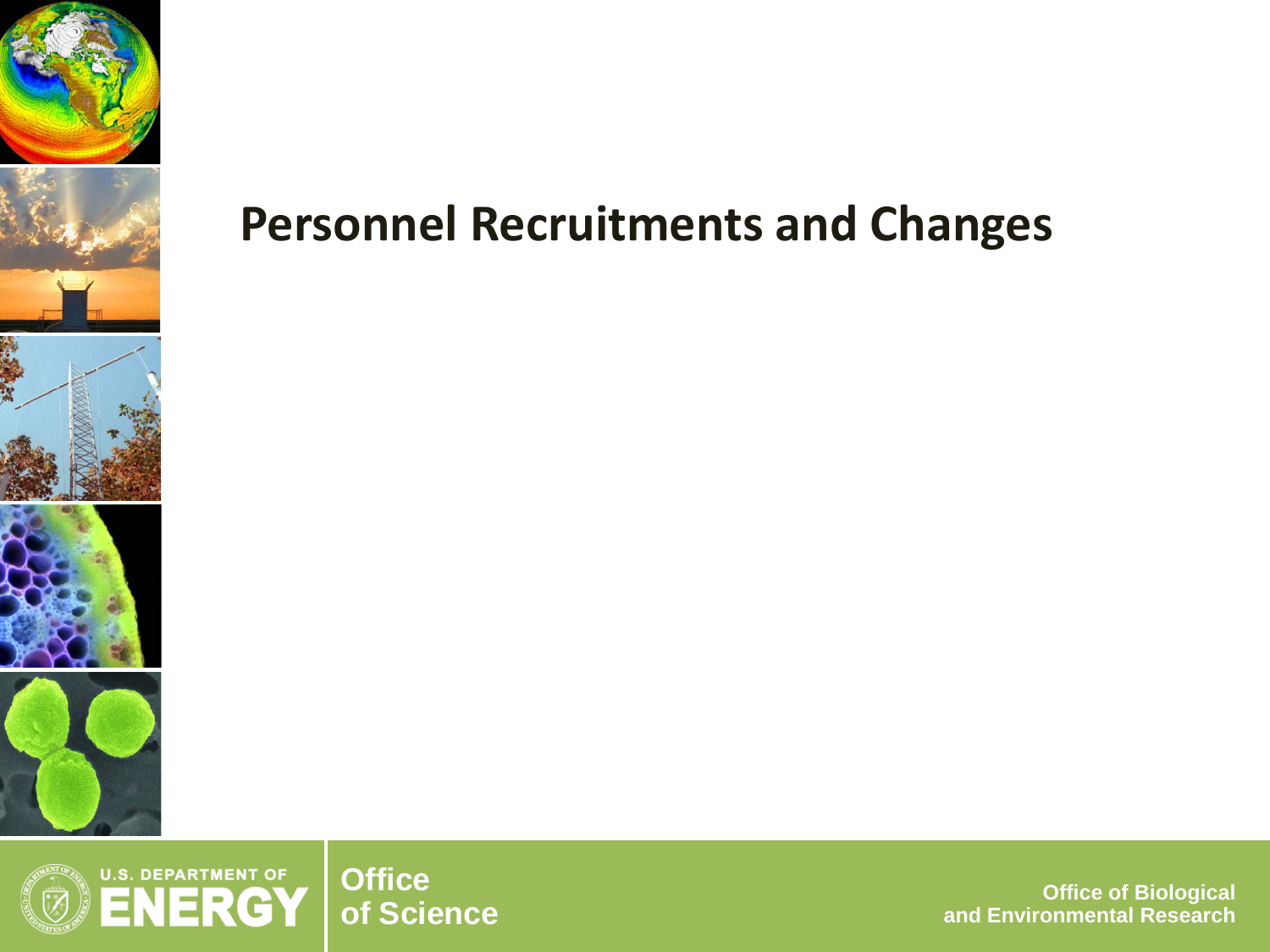

#### **U.S. DEPARTMENT OF Office<br>of Science** RGY

**of Science Office of Biological and Environmental Research**

### **Personnel Recruitments and Changes**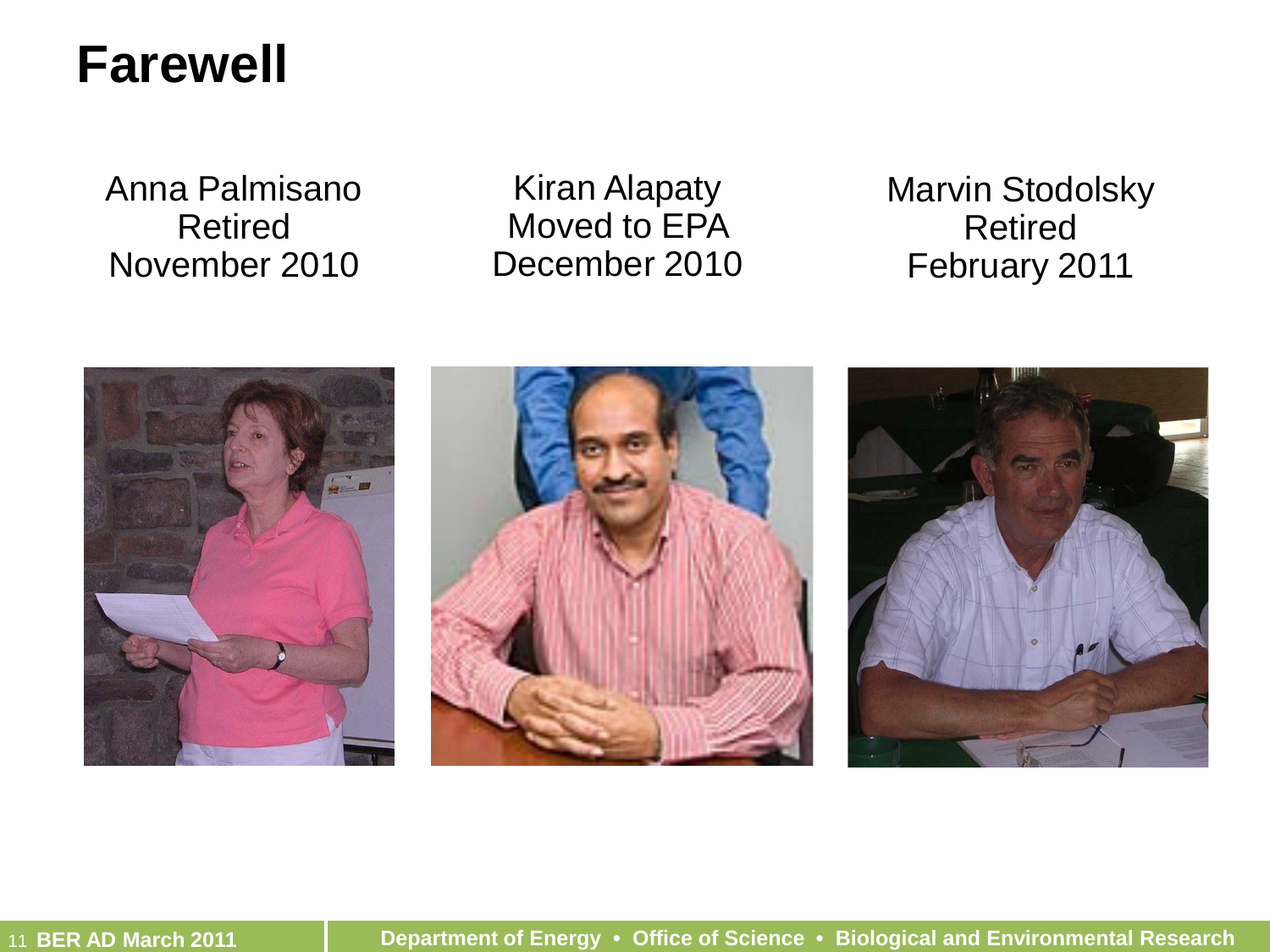#### **Farewell**

Anna Palmisano Retired November 2010

Kiran Alapaty Moved to EPA December 2010 Marvin Stodolsky Retired February 2011

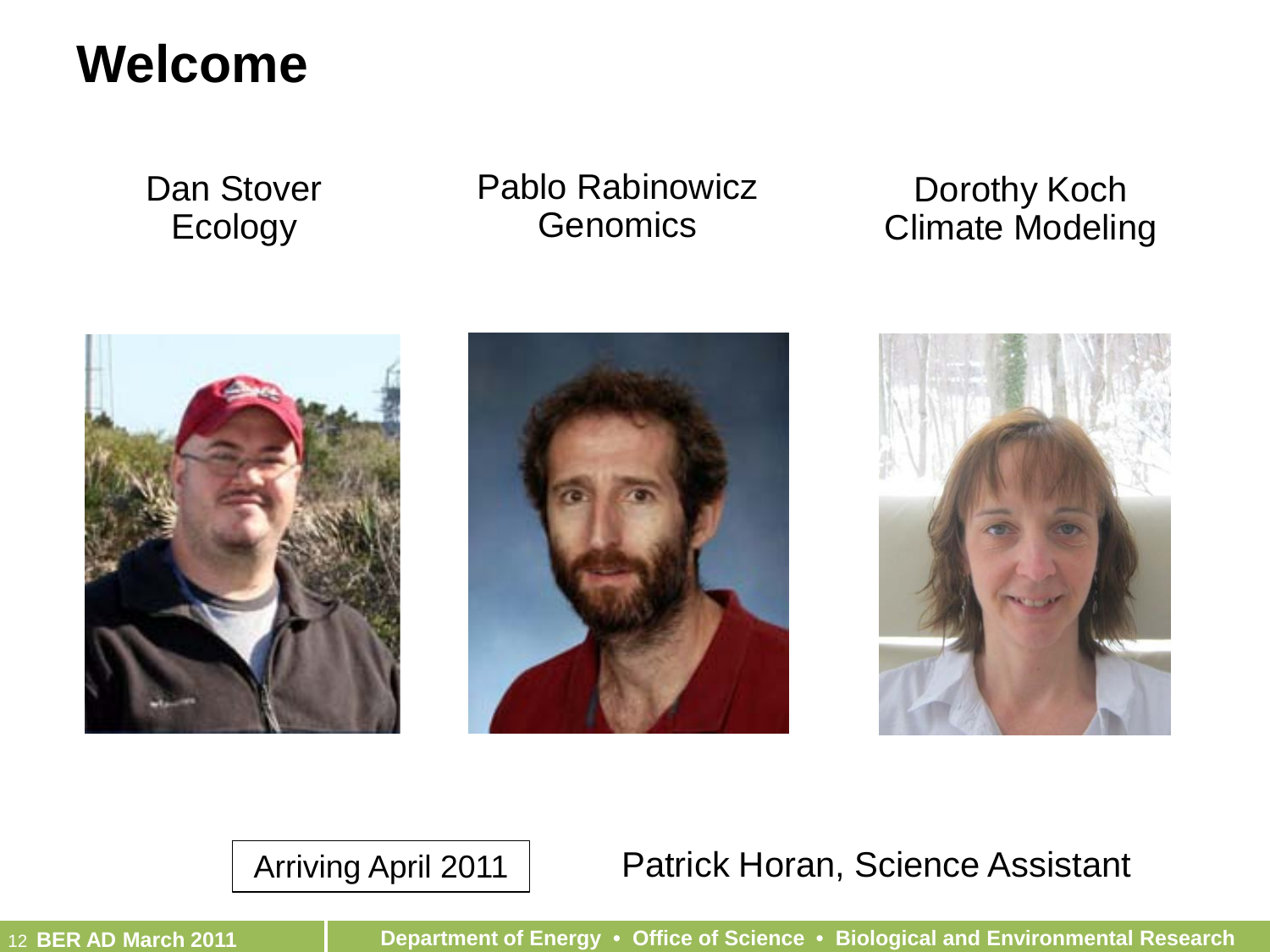# **Welcome**

Dan Stover Ecology

Pablo Rabinowicz **Genomics** 

Dorothy Koch Climate Modeling







#### Arriving April 2011 | Patrick Horan, Science Assistant

12 **BER AD March 2011 Department of Energy • Office of Science • Biological and Environmental Research**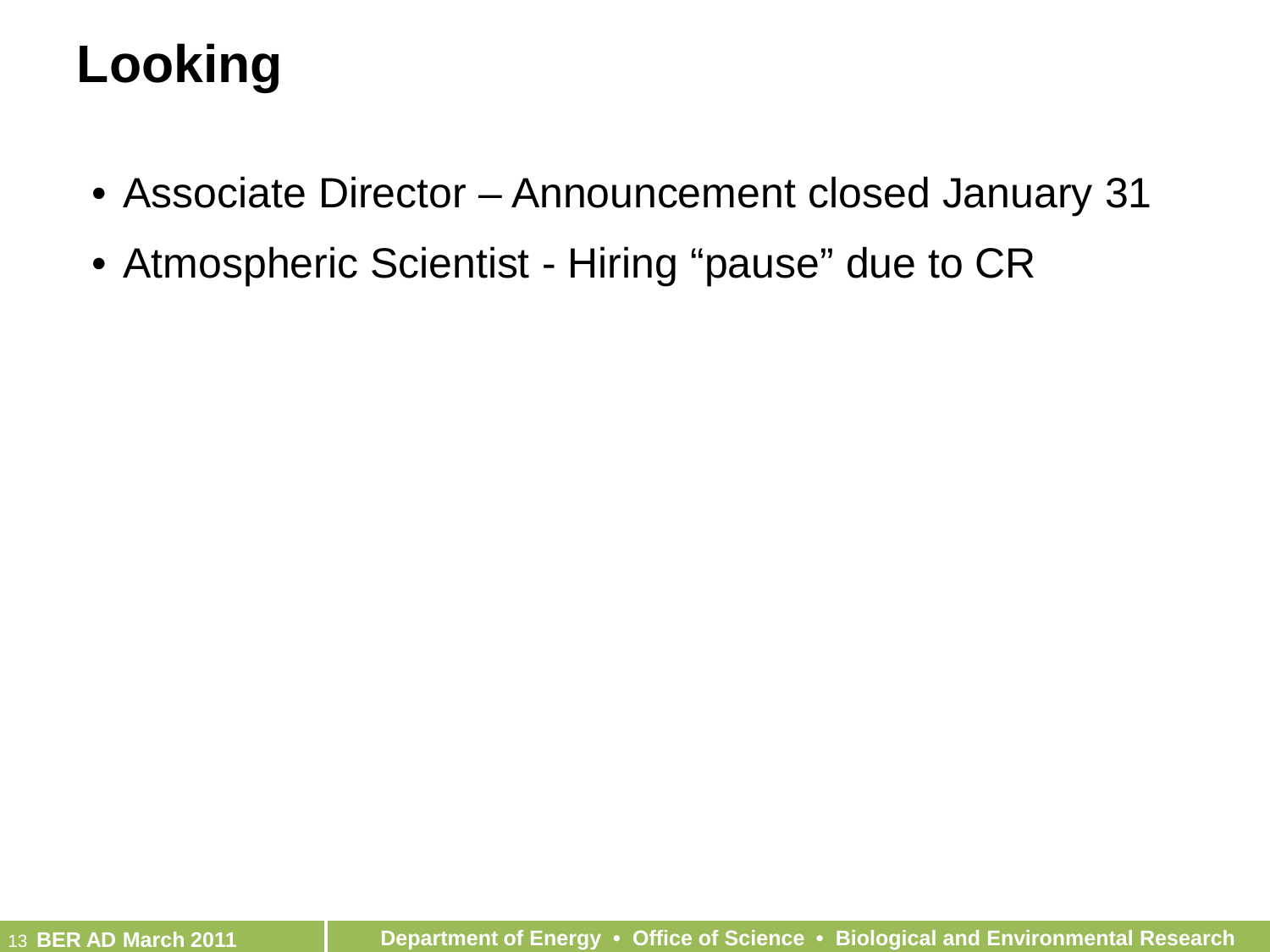# **Looking**

- Associate Director Announcement closed January 31
- Atmospheric Scientist Hiring "pause" due to CR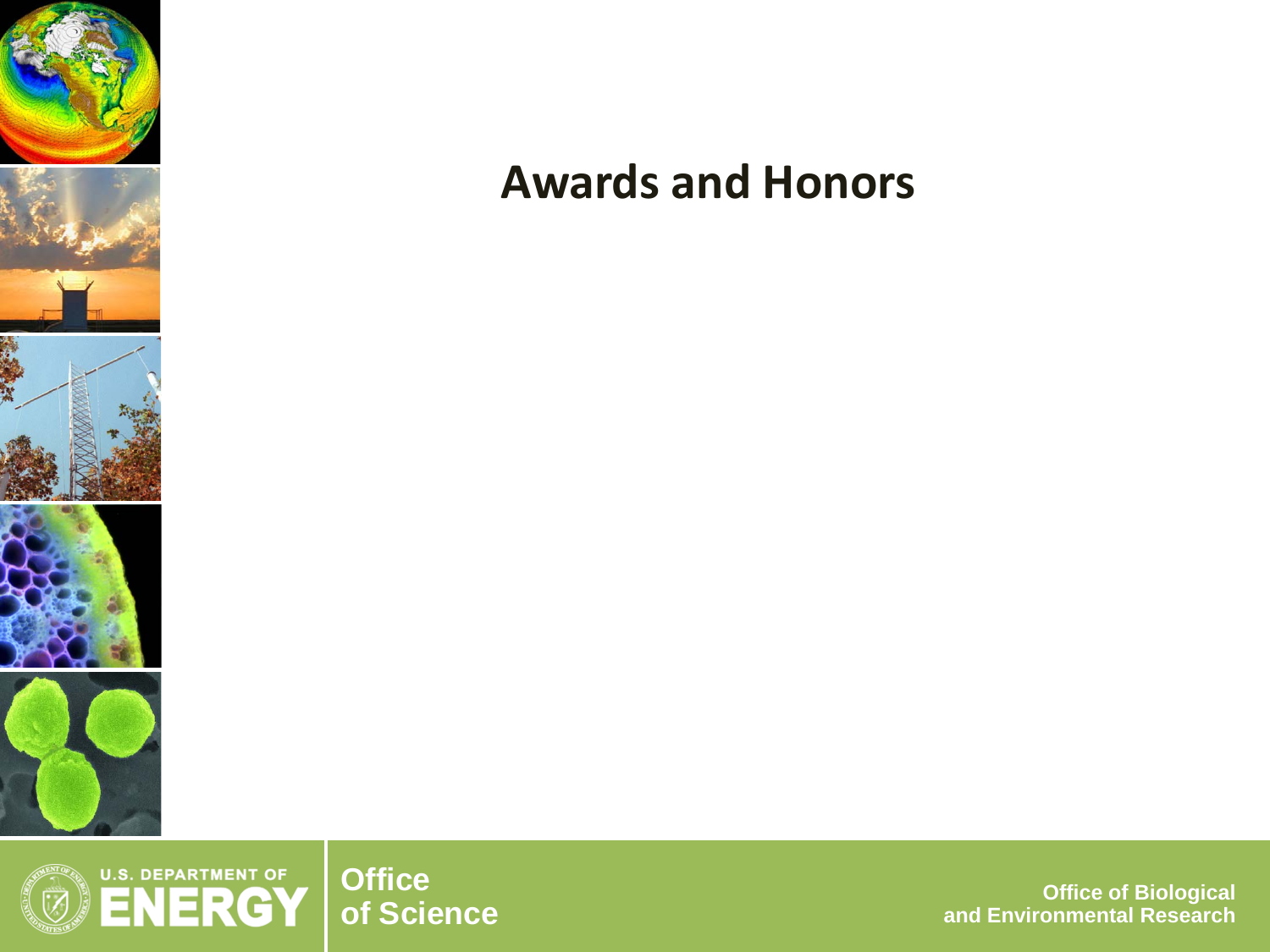



**of Science Office of Biological and Environmental Research**

#### **Awards and Honors**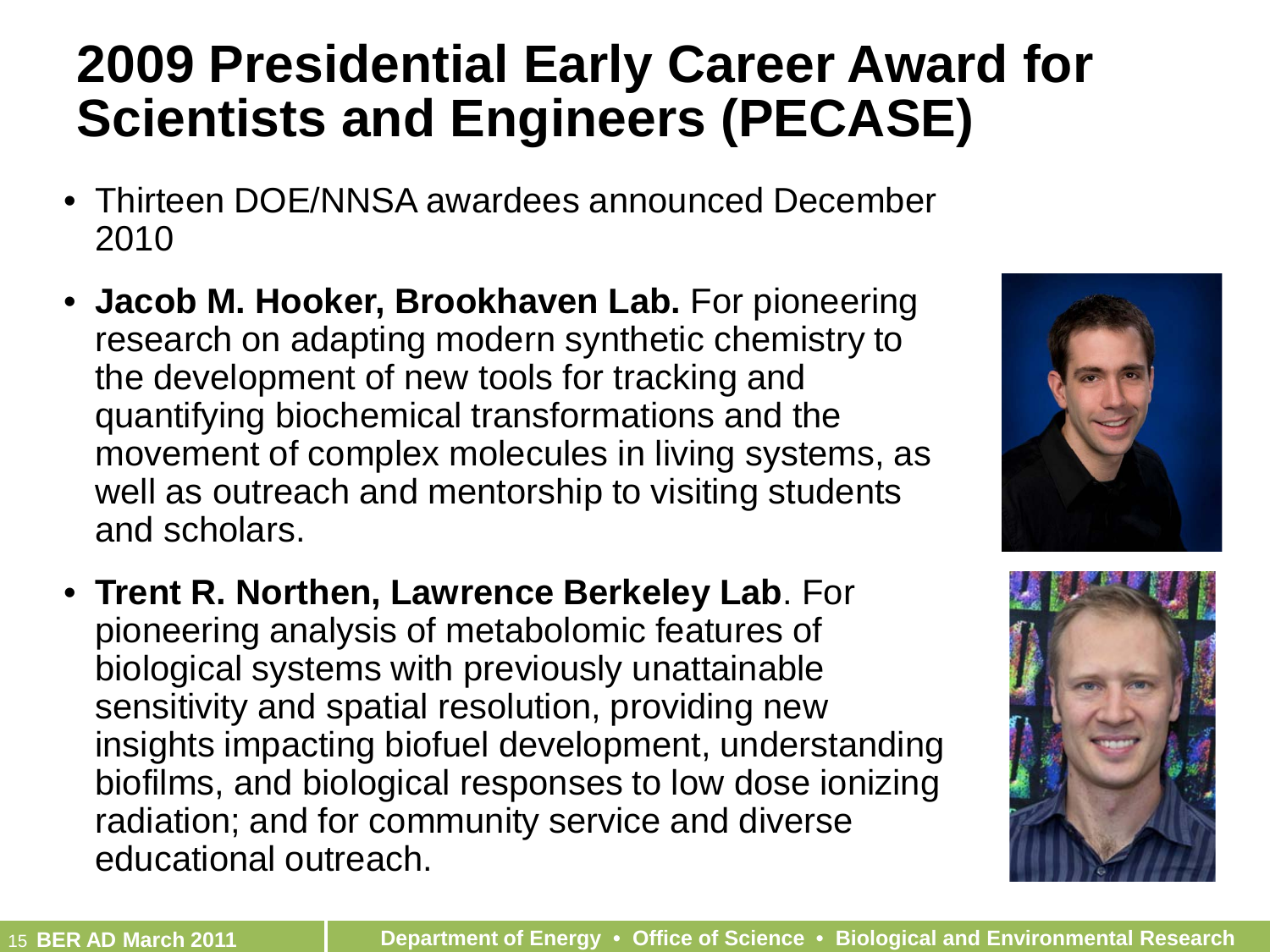# **2009 Presidential Early Career Award for Scientists and Engineers (PECASE)**

- Thirteen DOE/NNSA awardees announced December 2010
- **Jacob M. Hooker, Brookhaven Lab.** For pioneering research on adapting modern synthetic chemistry to the development of new tools for tracking and quantifying biochemical transformations and the movement of complex molecules in living systems, as well as outreach and mentorship to visiting students and scholars.
- **Trent R. Northen, Lawrence Berkeley Lab**. For pioneering analysis of metabolomic features of biological systems with previously unattainable sensitivity and spatial resolution, providing new insights impacting biofuel development, understanding biofilms, and biological responses to low dose ionizing radiation; and for community service and diverse educational outreach.



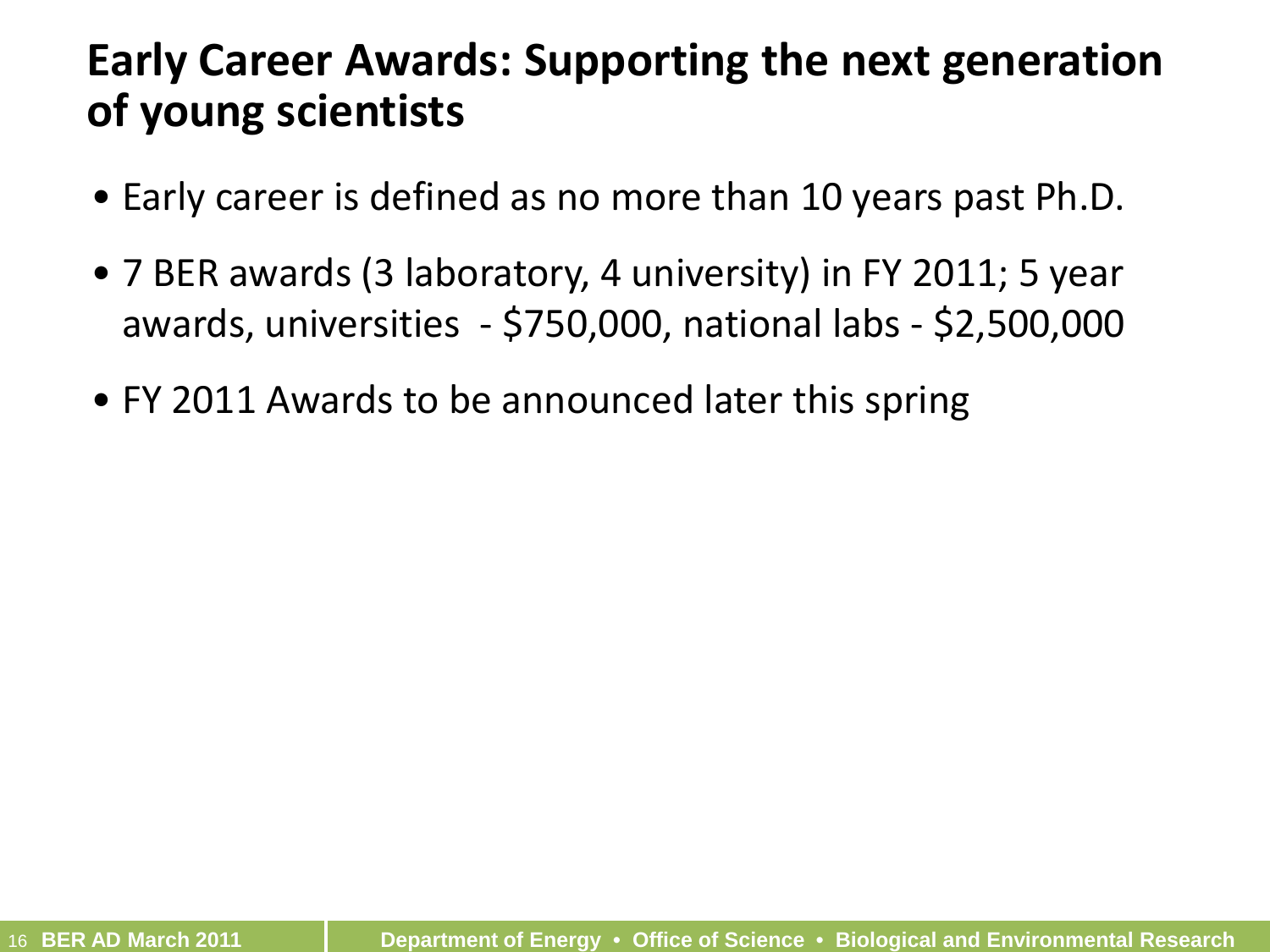#### **Early Career Awards: Supporting the next generation of young scientists**

- Early career is defined as no more than 10 years past Ph.D.
- 7 BER awards (3 laboratory, 4 university) in FY 2011; 5 year awards, universities - \$750,000, national labs - \$2,500,000
- FY 2011 Awards to be announced later this spring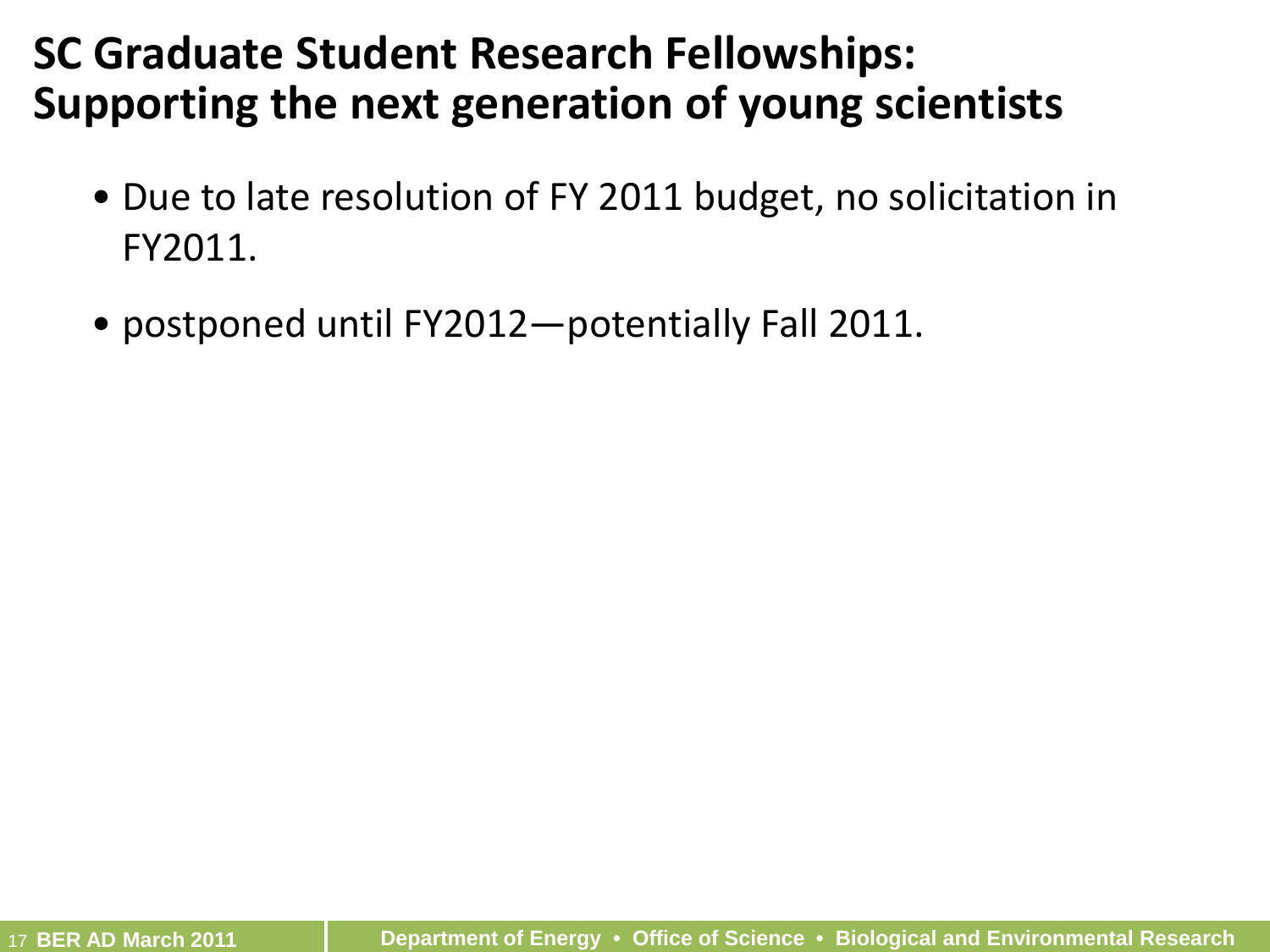#### **SC Graduate Student Research Fellowships: Supporting the next generation of young scientists**

- Due to late resolution of FY 2011 budget, no solicitation in FY2011.
- postponed until FY2012—potentially Fall 2011.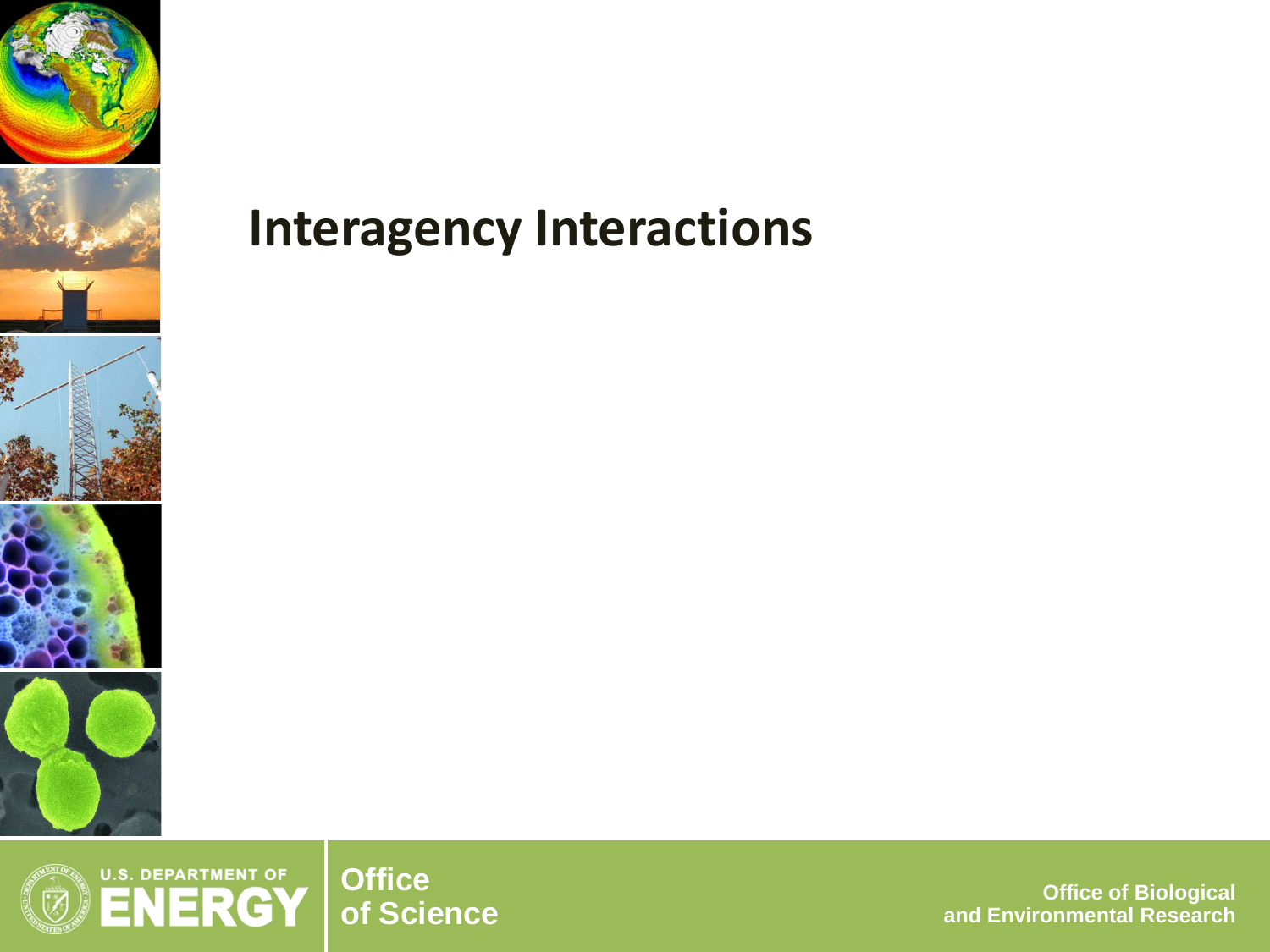





**of Science Office of Biological and Environmental Research**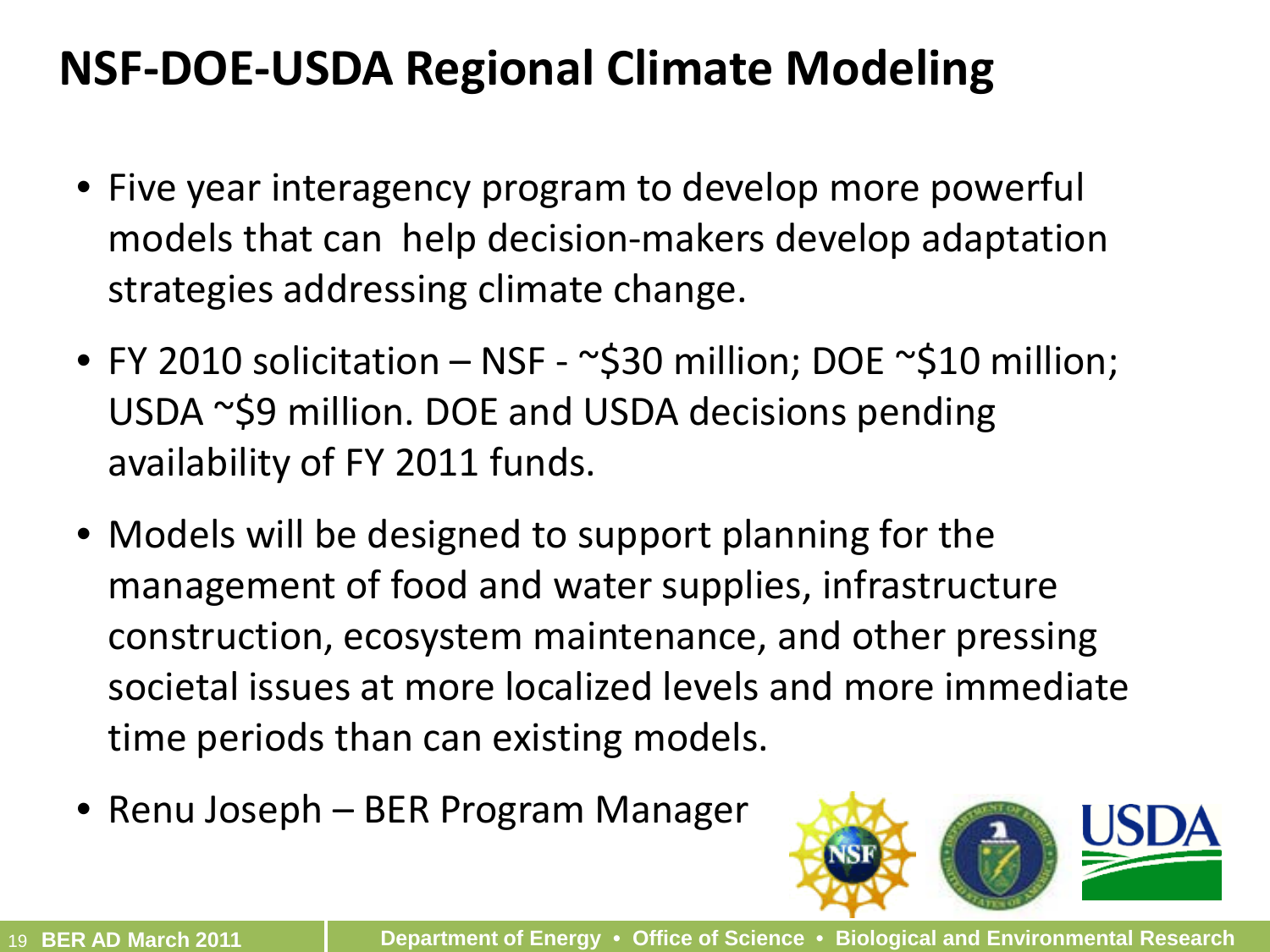### **NSF-DOE-USDA Regional Climate Modeling**

- Five year interagency program to develop more powerful models that can help decision-makers develop adaptation strategies addressing climate change.
- FY 2010 solicitation NSF ~\$30 million; DOE ~\$10 million; USDA ~\$9 million. DOE and USDA decisions pending availability of FY 2011 funds.
- Models will be designed to support planning for the management of food and water supplies, infrastructure construction, ecosystem maintenance, and other pressing societal issues at more localized levels and more immediate time periods than can existing models.
- Renu Joseph BER Program Manager